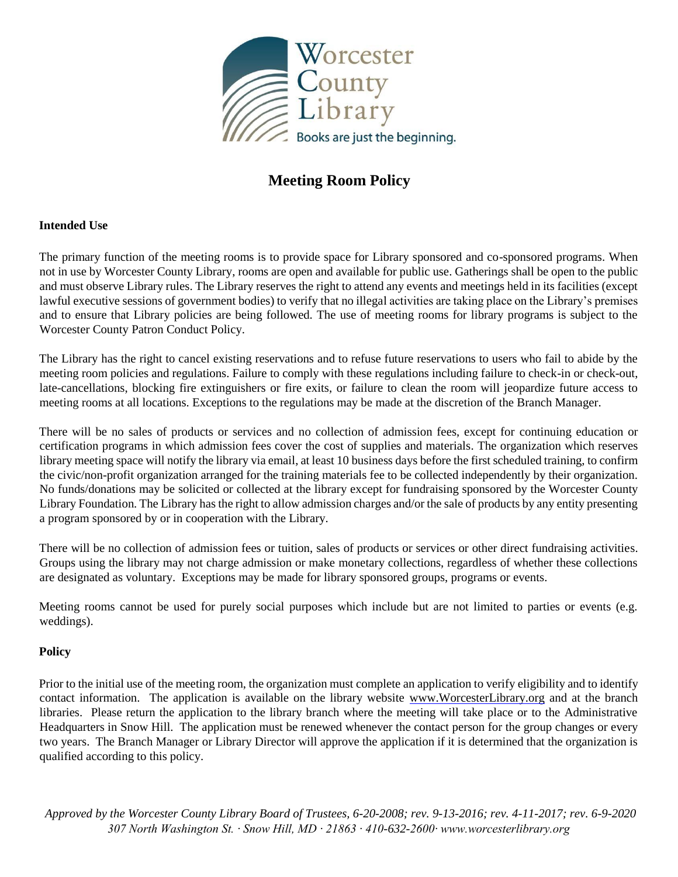

# **Meeting Room Policy**

## **Intended Use**

The primary function of the meeting rooms is to provide space for Library sponsored and co-sponsored programs. When not in use by Worcester County Library, rooms are open and available for public use. Gatherings shall be open to the public and must observe Library rules. The Library reserves the right to attend any events and meetings held in its facilities (except lawful executive sessions of government bodies) to verify that no illegal activities are taking place on the Library's premises and to ensure that Library policies are being followed. The use of meeting rooms for library programs is subject to the Worcester County Patron Conduct Policy.

The Library has the right to cancel existing reservations and to refuse future reservations to users who fail to abide by the meeting room policies and regulations. Failure to comply with these regulations including failure to check-in or check-out, late-cancellations, blocking fire extinguishers or fire exits, or failure to clean the room will jeopardize future access to meeting rooms at all locations. Exceptions to the regulations may be made at the discretion of the Branch Manager.

There will be no sales of products or services and no collection of admission fees, except for continuing education or certification programs in which admission fees cover the cost of supplies and materials. The organization which reserves library meeting space will notify the library via email, at least 10 business days before the first scheduled training, to confirm the civic/non-profit organization arranged for the training materials fee to be collected independently by their organization. No funds/donations may be solicited or collected at the library except for fundraising sponsored by the Worcester County Library Foundation. The Library has the right to allow admission charges and/or the sale of products by any entity presenting a program sponsored by or in cooperation with the Library.

There will be no collection of admission fees or tuition, sales of products or services or other direct fundraising activities. Groups using the library may not charge admission or make monetary collections, regardless of whether these collections are designated as voluntary. Exceptions may be made for library sponsored groups, programs or events.

Meeting rooms cannot be used for purely social purposes which include but are not limited to parties or events (e.g. weddings).

## **Policy**

Prior to the initial use of the meeting room, the organization must complete an application to verify eligibility and to identify contact information. The application is available on the library website [www.WorcesterLibrary.org](http://www.worcesterlibrary.org/) and at the branch libraries. Please return the application to the library branch where the meeting will take place or to the Administrative Headquarters in Snow Hill. The application must be renewed whenever the contact person for the group changes or every two years. The Branch Manager or Library Director will approve the application if it is determined that the organization is qualified according to this policy.

*Approved by the Worcester County Library Board of Trustees, 6-20-2008; rev. 9-13-2016; rev. 4-11-2017; rev. 6-9-2020 307 North Washington St. ∙ Snow Hill, MD ∙ 21863 ∙ 410-632-2600∙ www.worcesterlibrary.org*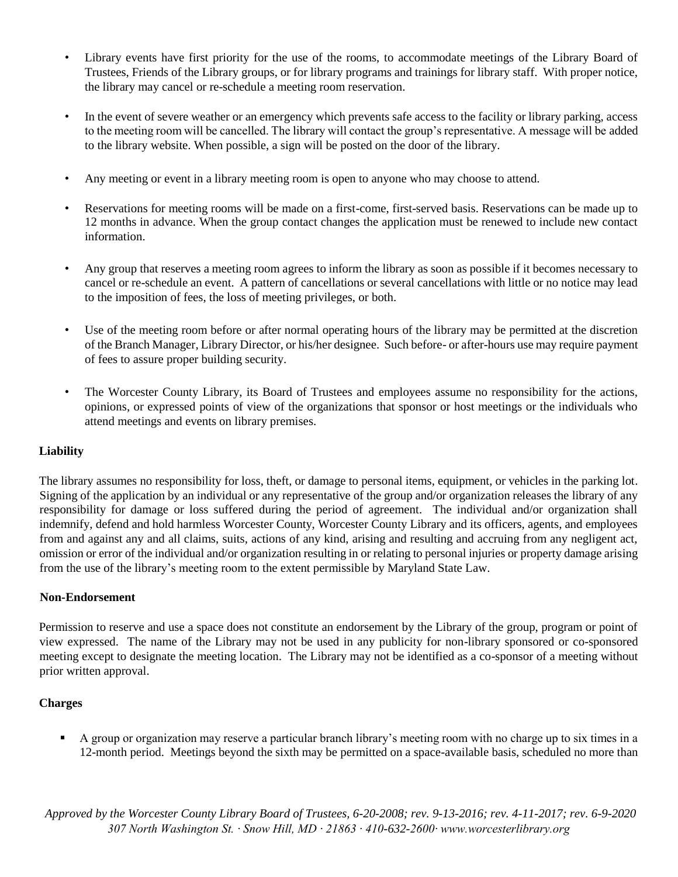- Library events have first priority for the use of the rooms, to accommodate meetings of the Library Board of Trustees, Friends of the Library groups, or for library programs and trainings for library staff. With proper notice, the library may cancel or re-schedule a meeting room reservation.
- In the event of severe weather or an emergency which prevents safe access to the facility or library parking, access to the meeting room will be cancelled. The library will contact the group's representative. A message will be added to the library website. When possible, a sign will be posted on the door of the library.
- Any meeting or event in a library meeting room is open to anyone who may choose to attend.
- Reservations for meeting rooms will be made on a first-come, first-served basis. Reservations can be made up to 12 months in advance. When the group contact changes the application must be renewed to include new contact information.
- Any group that reserves a meeting room agrees to inform the library as soon as possible if it becomes necessary to cancel or re-schedule an event. A pattern of cancellations or several cancellations with little or no notice may lead to the imposition of fees, the loss of meeting privileges, or both.
- Use of the meeting room before or after normal operating hours of the library may be permitted at the discretion of the Branch Manager, Library Director, or his/her designee. Such before- or after-hours use may require payment of fees to assure proper building security.
- The Worcester County Library, its Board of Trustees and employees assume no responsibility for the actions, opinions, or expressed points of view of the organizations that sponsor or host meetings or the individuals who attend meetings and events on library premises.

## **Liability**

The library assumes no responsibility for loss, theft, or damage to personal items, equipment, or vehicles in the parking lot. Signing of the application by an individual or any representative of the group and/or organization releases the library of any responsibility for damage or loss suffered during the period of agreement. The individual and/or organization shall indemnify, defend and hold harmless Worcester County, Worcester County Library and its officers, agents, and employees from and against any and all claims, suits, actions of any kind, arising and resulting and accruing from any negligent act, omission or error of the individual and/or organization resulting in or relating to personal injuries or property damage arising from the use of the library's meeting room to the extent permissible by Maryland State Law.

#### **Non-Endorsement**

Permission to reserve and use a space does not constitute an endorsement by the Library of the group, program or point of view expressed. The name of the Library may not be used in any publicity for non-library sponsored or co-sponsored meeting except to designate the meeting location. The Library may not be identified as a co-sponsor of a meeting without prior written approval.

## **Charges**

 A group or organization may reserve a particular branch library's meeting room with no charge up to six times in a 12-month period. Meetings beyond the sixth may be permitted on a space-available basis, scheduled no more than

*Approved by the Worcester County Library Board of Trustees, 6-20-2008; rev. 9-13-2016; rev. 4-11-2017; rev. 6-9-2020 307 North Washington St. ∙ Snow Hill, MD ∙ 21863 ∙ 410-632-2600∙ www.worcesterlibrary.org*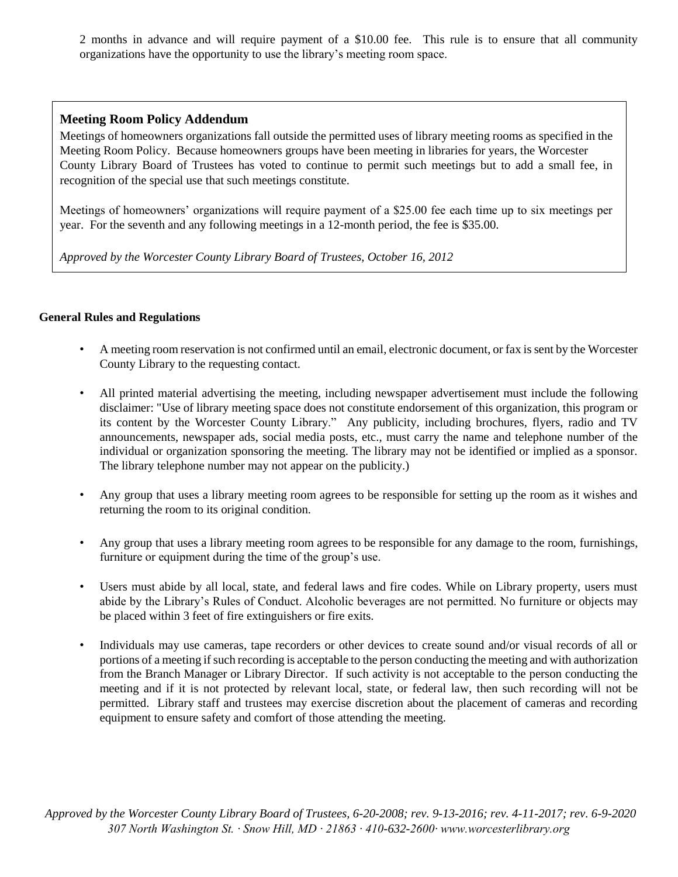2 months in advance and will require payment of a \$10.00 fee. This rule is to ensure that all community organizations have the opportunity to use the library's meeting room space.

## **Meeting Room Policy Addendum**

Meetings of homeowners organizations fall outside the permitted uses of library meeting rooms as specified in the Meeting Room Policy. Because homeowners groups have been meeting in libraries for years, the Worcester County Library Board of Trustees has voted to continue to permit such meetings but to add a small fee, in recognition of the special use that such meetings constitute.

Meetings of homeowners' organizations will require payment of a \$25.00 fee each time up to six meetings per year. For the seventh and any following meetings in a 12-month period, the fee is \$35.00.

*Approved by the Worcester County Library Board of Trustees, October 16, 2012* 

#### **General Rules and Regulations**

- A meeting room reservation is not confirmed until an email, electronic document, or fax is sent by the Worcester County Library to the requesting contact.
- All printed material advertising the meeting, including newspaper advertisement must include the following disclaimer: "Use of library meeting space does not constitute endorsement of this organization, this program or its content by the Worcester County Library." Any publicity, including brochures, flyers, radio and TV announcements, newspaper ads, social media posts, etc., must carry the name and telephone number of the individual or organization sponsoring the meeting. The library may not be identified or implied as a sponsor. The library telephone number may not appear on the publicity.)
- Any group that uses a library meeting room agrees to be responsible for setting up the room as it wishes and returning the room to its original condition.
- Any group that uses a library meeting room agrees to be responsible for any damage to the room, furnishings, furniture or equipment during the time of the group's use.
- Users must abide by all local, state, and federal laws and fire codes. While on Library property, users must abide by the Library's Rules of Conduct. Alcoholic beverages are not permitted. No furniture or objects may be placed within 3 feet of fire extinguishers or fire exits.
- Individuals may use cameras, tape recorders or other devices to create sound and/or visual records of all or portions of a meeting if such recording is acceptable to the person conducting the meeting and with authorization from the Branch Manager or Library Director. If such activity is not acceptable to the person conducting the meeting and if it is not protected by relevant local, state, or federal law, then such recording will not be permitted. Library staff and trustees may exercise discretion about the placement of cameras and recording equipment to ensure safety and comfort of those attending the meeting.